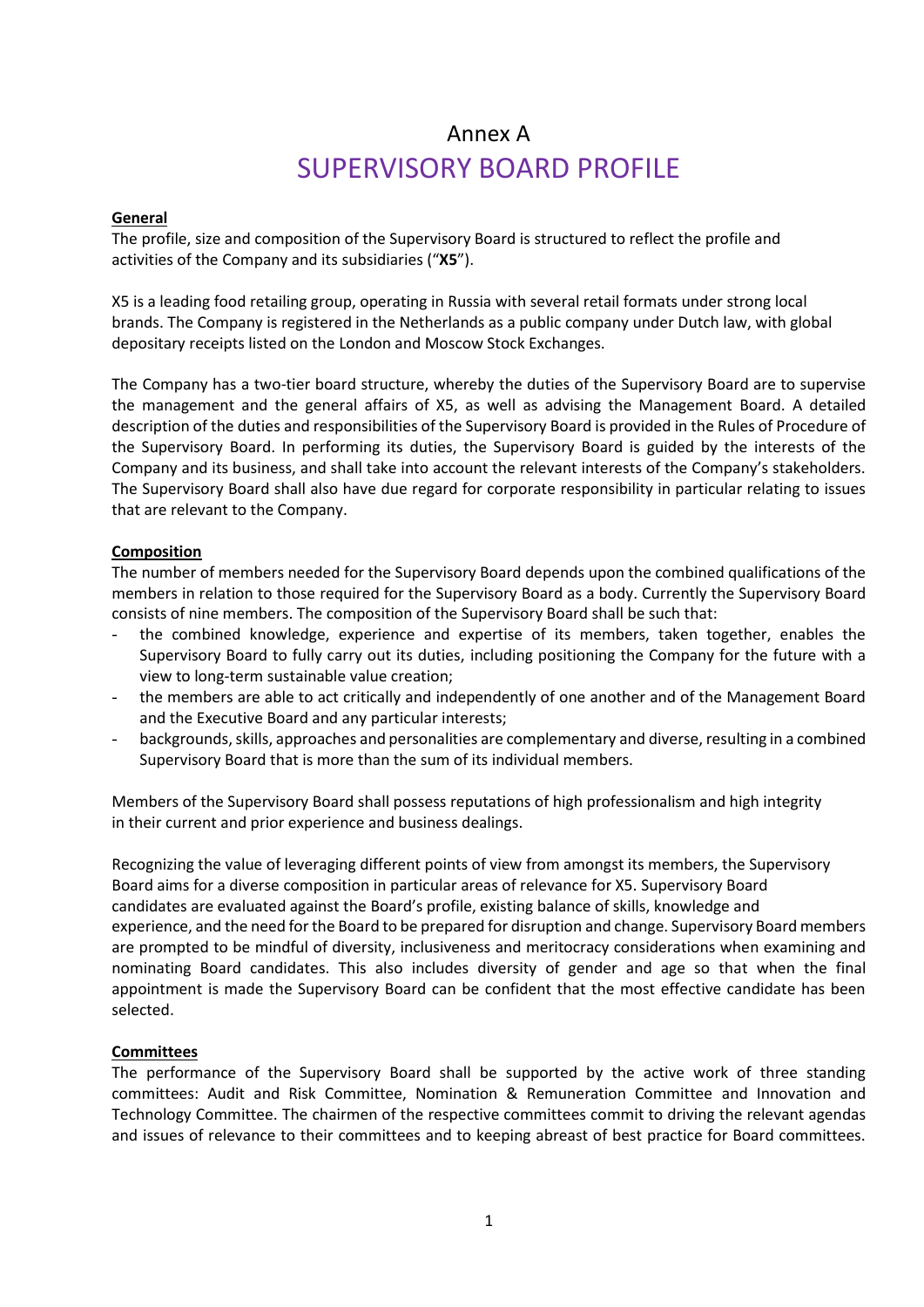# Annex A SUPERVISORY BOARD PROFILE

#### **General**

The profile, size and composition of the Supervisory Board is structured to reflect the profile and activities of the Company and its subsidiaries ("**X5**").

X5 is a leading food retailing group, operating in Russia with several retail formats under strong local brands. The Company is registered in the Netherlands as a public company under Dutch law, with global depositary receipts listed on the London and Moscow Stock Exchanges.

The Company has a two-tier board structure, whereby the duties of the Supervisory Board are to supervise the management and the general affairs of X5, as well as advising the Management Board. A detailed description of the duties and responsibilities of the Supervisory Board is provided in the Rules of Procedure of the Supervisory Board. In performing its duties, the Supervisory Board is guided by the interests of the Company and its business, and shall take into account the relevant interests of the Company's stakeholders. The Supervisory Board shall also have due regard for corporate responsibility in particular relating to issues that are relevant to the Company.

## **Composition**

The number of members needed for the Supervisory Board depends upon the combined qualifications of the members in relation to those required for the Supervisory Board as a body. Currently the Supervisory Board consists of nine members. The composition of the Supervisory Board shall be such that:

- the combined knowledge, experience and expertise of its members, taken together, enables the Supervisory Board to fully carry out its duties, including positioning the Company for the future with a view to long-term sustainable value creation;
- the members are able to act critically and independently of one another and of the Management Board and the Executive Board and any particular interests;
- backgrounds, skills, approaches and personalities are complementary and diverse, resulting in a combined Supervisory Board that is more than the sum of its individual members.

Members of the Supervisory Board shall possess reputations of high professionalism and high integrity in their current and prior experience and business dealings.

Recognizing the value of leveraging different points of view from amongst its members, the Supervisory Board aims for a diverse composition in particular areas of relevance for X5. Supervisory Board candidates are evaluated against the Board's profile, existing balance of skills, knowledge and experience, and the need for the Board to be prepared for disruption and change. Supervisory Board members are prompted to be mindful of diversity, inclusiveness and meritocracy considerations when examining and nominating Board candidates. This also includes diversity of gender and age so that when the final appointment is made the Supervisory Board can be confident that the most effective candidate has been selected.

#### **Committees**

The performance of the Supervisory Board shall be supported by the active work of three standing committees: Audit and Risk Committee, Nomination & Remuneration Committee and Innovation and Technology Committee. The chairmen of the respective committees commit to driving the relevant agendas and issues of relevance to their committees and to keeping abreast of best practice for Board committees.